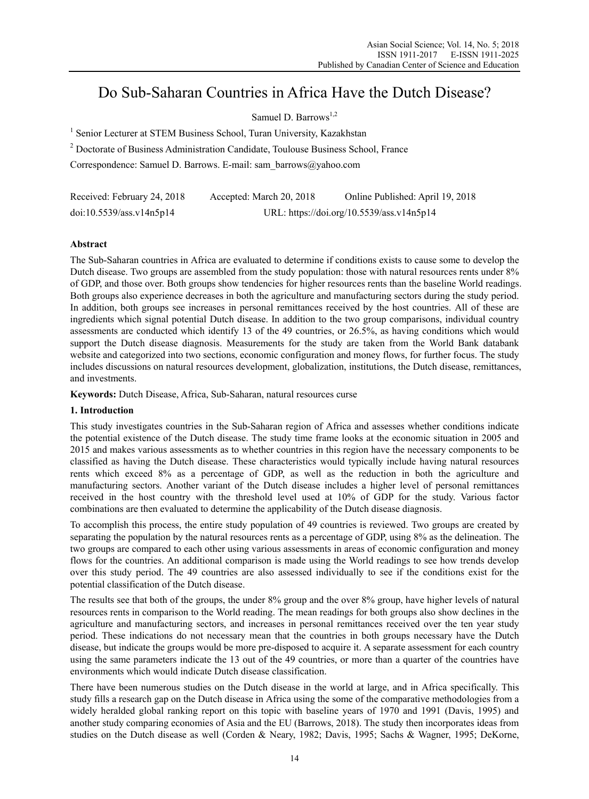# Do Sub-Saharan Countries in Africa Have the Dutch Disease?

## Samuel D. Barrows<sup>1,2</sup>

<sup>1</sup> Senior Lecturer at STEM Business School, Turan University, Kazakhstan

<sup>2</sup> Doctorate of Business Administration Candidate, Toulouse Business School, France

Correspondence: Samuel D. Barrows. E-mail: sam\_barrows@yahoo.com

| Received: February 24, 2018 | Accepted: March 20, 2018 | Online Published: April 19, 2018          |
|-----------------------------|--------------------------|-------------------------------------------|
| doi:10.5539/ass.v14n5p14    |                          | URL: https://doi.org/10.5539/ass.v14n5p14 |

## **Abstract**

The Sub-Saharan countries in Africa are evaluated to determine if conditions exists to cause some to develop the Dutch disease. Two groups are assembled from the study population: those with natural resources rents under 8% of GDP, and those over. Both groups show tendencies for higher resources rents than the baseline World readings. Both groups also experience decreases in both the agriculture and manufacturing sectors during the study period. In addition, both groups see increases in personal remittances received by the host countries. All of these are ingredients which signal potential Dutch disease. In addition to the two group comparisons, individual country assessments are conducted which identify 13 of the 49 countries, or 26.5%, as having conditions which would support the Dutch disease diagnosis. Measurements for the study are taken from the World Bank databank website and categorized into two sections, economic configuration and money flows, for further focus. The study includes discussions on natural resources development, globalization, institutions, the Dutch disease, remittances, and investments.

**Keywords:** Dutch Disease, Africa, Sub-Saharan, natural resources curse

## **1. Introduction**

This study investigates countries in the Sub-Saharan region of Africa and assesses whether conditions indicate the potential existence of the Dutch disease. The study time frame looks at the economic situation in 2005 and 2015 and makes various assessments as to whether countries in this region have the necessary components to be classified as having the Dutch disease. These characteristics would typically include having natural resources rents which exceed 8% as a percentage of GDP, as well as the reduction in both the agriculture and manufacturing sectors. Another variant of the Dutch disease includes a higher level of personal remittances received in the host country with the threshold level used at 10% of GDP for the study. Various factor combinations are then evaluated to determine the applicability of the Dutch disease diagnosis.

To accomplish this process, the entire study population of 49 countries is reviewed. Two groups are created by separating the population by the natural resources rents as a percentage of GDP, using 8% as the delineation. The two groups are compared to each other using various assessments in areas of economic configuration and money flows for the countries. An additional comparison is made using the World readings to see how trends develop over this study period. The 49 countries are also assessed individually to see if the conditions exist for the potential classification of the Dutch disease.

The results see that both of the groups, the under 8% group and the over 8% group, have higher levels of natural resources rents in comparison to the World reading. The mean readings for both groups also show declines in the agriculture and manufacturing sectors, and increases in personal remittances received over the ten year study period. These indications do not necessary mean that the countries in both groups necessary have the Dutch disease, but indicate the groups would be more pre-disposed to acquire it. A separate assessment for each country using the same parameters indicate the 13 out of the 49 countries, or more than a quarter of the countries have environments which would indicate Dutch disease classification.

There have been numerous studies on the Dutch disease in the world at large, and in Africa specifically. This study fills a research gap on the Dutch disease in Africa using the some of the comparative methodologies from a widely heralded global ranking report on this topic with baseline years of 1970 and 1991 (Davis, 1995) and another study comparing economies of Asia and the EU (Barrows, 2018). The study then incorporates ideas from studies on the Dutch disease as well (Corden & Neary, 1982; Davis, 1995; Sachs & Wagner, 1995; DeKorne,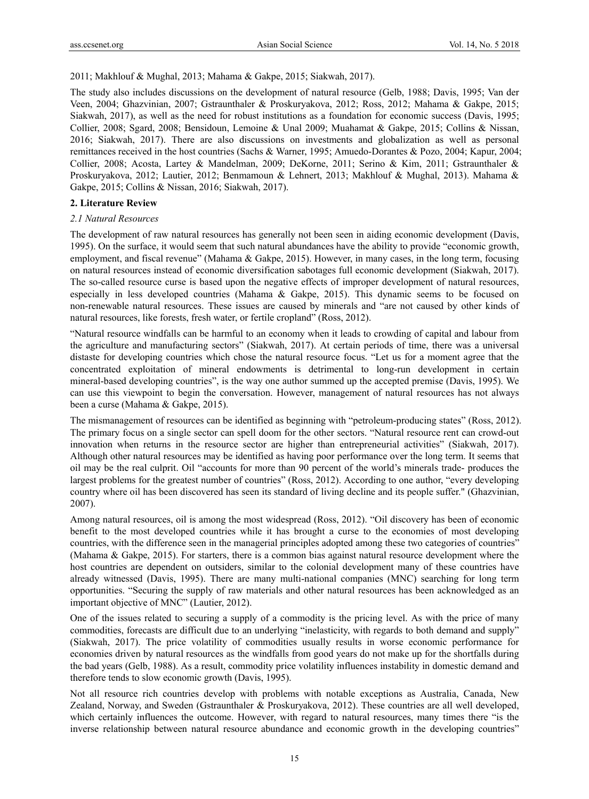#### 2011; Makhlouf & Mughal, 2013; Mahama & Gakpe, 2015; Siakwah, 2017).

The study also includes discussions on the development of natural resource (Gelb, 1988; Davis, 1995; Van der Veen, 2004; Ghazvinian, 2007; Gstraunthaler & Proskuryakova, 2012; Ross, 2012; Mahama & Gakpe, 2015; Siakwah, 2017), as well as the need for robust institutions as a foundation for economic success (Davis, 1995; Collier, 2008; Sgard, 2008; Bensidoun, Lemoine & Unal 2009; Muahamat & Gakpe, 2015; Collins & Nissan, 2016; Siakwah, 2017). There are also discussions on investments and globalization as well as personal remittances received in the host countries (Sachs & Warner, 1995; Amuedo-Dorantes & Pozo, 2004; Kapur, 2004; Collier, 2008; Acosta, Lartey & Mandelman, 2009; DeKorne, 2011; Serino & Kim, 2011; Gstraunthaler & Proskuryakova, 2012; Lautier, 2012; Benmamoun & Lehnert, 2013; Makhlouf & Mughal, 2013). Mahama & Gakpe, 2015; Collins & Nissan, 2016; Siakwah, 2017).

## **2. Literature Review**

#### *2.1 Natural Resources*

The development of raw natural resources has generally not been seen in aiding economic development (Davis, 1995). On the surface, it would seem that such natural abundances have the ability to provide "economic growth, employment, and fiscal revenue" (Mahama & Gakpe, 2015). However, in many cases, in the long term, focusing on natural resources instead of economic diversification sabotages full economic development (Siakwah, 2017). The so-called resource curse is based upon the negative effects of improper development of natural resources, especially in less developed countries (Mahama & Gakpe, 2015). This dynamic seems to be focused on non-renewable natural resources. These issues are caused by minerals and "are not caused by other kinds of natural resources, like forests, fresh water, or fertile cropland" (Ross, 2012).

"Natural resource windfalls can be harmful to an economy when it leads to crowding of capital and labour from the agriculture and manufacturing sectors" (Siakwah, 2017). At certain periods of time, there was a universal distaste for developing countries which chose the natural resource focus. "Let us for a moment agree that the concentrated exploitation of mineral endowments is detrimental to long-run development in certain mineral-based developing countries", is the way one author summed up the accepted premise (Davis, 1995). We can use this viewpoint to begin the conversation. However, management of natural resources has not always been a curse (Mahama & Gakpe, 2015).

The mismanagement of resources can be identified as beginning with "petroleum-producing states" (Ross, 2012). The primary focus on a single sector can spell doom for the other sectors. "Natural resource rent can crowd-out innovation when returns in the resource sector are higher than entrepreneurial activities" (Siakwah, 2017). Although other natural resources may be identified as having poor performance over the long term. It seems that oil may be the real culprit. Oil "accounts for more than 90 percent of the world's minerals trade- produces the largest problems for the greatest number of countries" (Ross, 2012). According to one author, "every developing country where oil has been discovered has seen its standard of living decline and its people suffer." (Ghazvinian, 2007).

Among natural resources, oil is among the most widespread (Ross, 2012). "Oil discovery has been of economic benefit to the most developed countries while it has brought a curse to the economies of most developing countries, with the difference seen in the managerial principles adopted among these two categories of countries" (Mahama & Gakpe, 2015). For starters, there is a common bias against natural resource development where the host countries are dependent on outsiders, similar to the colonial development many of these countries have already witnessed (Davis, 1995). There are many multi-national companies (MNC) searching for long term opportunities. "Securing the supply of raw materials and other natural resources has been acknowledged as an important objective of MNC" (Lautier, 2012).

One of the issues related to securing a supply of a commodity is the pricing level. As with the price of many commodities, forecasts are difficult due to an underlying "inelasticity, with regards to both demand and supply" (Siakwah, 2017). The price volatility of commodities usually results in worse economic performance for economies driven by natural resources as the windfalls from good years do not make up for the shortfalls during the bad years (Gelb, 1988). As a result, commodity price volatility influences instability in domestic demand and therefore tends to slow economic growth (Davis, 1995).

Not all resource rich countries develop with problems with notable exceptions as Australia, Canada, New Zealand, Norway, and Sweden (Gstraunthaler & Proskuryakova, 2012). These countries are all well developed, which certainly influences the outcome. However, with regard to natural resources, many times there "is the inverse relationship between natural resource abundance and economic growth in the developing countries"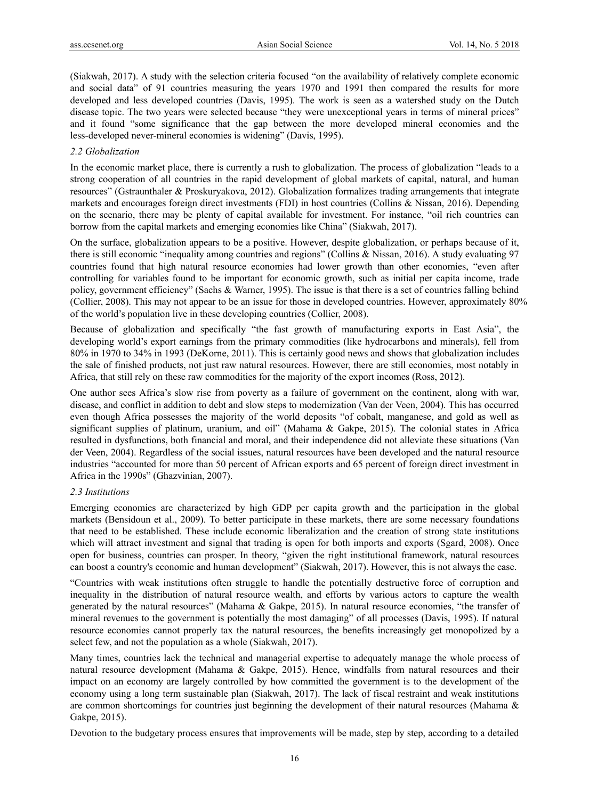(Siakwah, 2017). A study with the selection criteria focused "on the availability of relatively complete economic and social data" of 91 countries measuring the years 1970 and 1991 then compared the results for more developed and less developed countries (Davis, 1995). The work is seen as a watershed study on the Dutch disease topic. The two years were selected because "they were unexceptional years in terms of mineral prices" and it found "some significance that the gap between the more developed mineral economies and the less-developed never-mineral economies is widening" (Davis, 1995).

#### *2.2 Globalization*

In the economic market place, there is currently a rush to globalization. The process of globalization "leads to a strong cooperation of all countries in the rapid development of global markets of capital, natural, and human resources" (Gstraunthaler & Proskuryakova, 2012). Globalization formalizes trading arrangements that integrate markets and encourages foreign direct investments (FDI) in host countries (Collins & Nissan, 2016). Depending on the scenario, there may be plenty of capital available for investment. For instance, "oil rich countries can borrow from the capital markets and emerging economies like China" (Siakwah, 2017).

On the surface, globalization appears to be a positive. However, despite globalization, or perhaps because of it, there is still economic "inequality among countries and regions" (Collins & Nissan, 2016). A study evaluating 97 countries found that high natural resource economies had lower growth than other economies, "even after controlling for variables found to be important for economic growth, such as initial per capita income, trade policy, government efficiency" (Sachs & Warner, 1995). The issue is that there is a set of countries falling behind (Collier, 2008). This may not appear to be an issue for those in developed countries. However, approximately 80% of the world's population live in these developing countries (Collier, 2008).

Because of globalization and specifically "the fast growth of manufacturing exports in East Asia", the developing world's export earnings from the primary commodities (like hydrocarbons and minerals), fell from 80% in 1970 to 34% in 1993 (DeKorne, 2011). This is certainly good news and shows that globalization includes the sale of finished products, not just raw natural resources. However, there are still economies, most notably in Africa, that still rely on these raw commodities for the majority of the export incomes (Ross, 2012).

One author sees Africa's slow rise from poverty as a failure of government on the continent, along with war, disease, and conflict in addition to debt and slow steps to modernization (Van der Veen, 2004). This has occurred even though Africa possesses the majority of the world deposits "of cobalt, manganese, and gold as well as significant supplies of platinum, uranium, and oil" (Mahama & Gakpe, 2015). The colonial states in Africa resulted in dysfunctions, both financial and moral, and their independence did not alleviate these situations (Van der Veen, 2004). Regardless of the social issues, natural resources have been developed and the natural resource industries "accounted for more than 50 percent of African exports and 65 percent of foreign direct investment in Africa in the 1990s" (Ghazvinian, 2007).

#### *2.3 Institutions*

Emerging economies are characterized by high GDP per capita growth and the participation in the global markets (Bensidoun et al., 2009). To better participate in these markets, there are some necessary foundations that need to be established. These include economic liberalization and the creation of strong state institutions which will attract investment and signal that trading is open for both imports and exports (Sgard, 2008). Once open for business, countries can prosper. In theory, "given the right institutional framework, natural resources can boost a country's economic and human development" (Siakwah, 2017). However, this is not always the case.

"Countries with weak institutions often struggle to handle the potentially destructive force of corruption and inequality in the distribution of natural resource wealth, and efforts by various actors to capture the wealth generated by the natural resources" (Mahama & Gakpe, 2015). In natural resource economies, "the transfer of mineral revenues to the government is potentially the most damaging" of all processes (Davis, 1995). If natural resource economies cannot properly tax the natural resources, the benefits increasingly get monopolized by a select few, and not the population as a whole (Siakwah, 2017).

Many times, countries lack the technical and managerial expertise to adequately manage the whole process of natural resource development (Mahama & Gakpe, 2015). Hence, windfalls from natural resources and their impact on an economy are largely controlled by how committed the government is to the development of the economy using a long term sustainable plan (Siakwah, 2017). The lack of fiscal restraint and weak institutions are common shortcomings for countries just beginning the development of their natural resources (Mahama  $\&$ Gakpe, 2015).

Devotion to the budgetary process ensures that improvements will be made, step by step, according to a detailed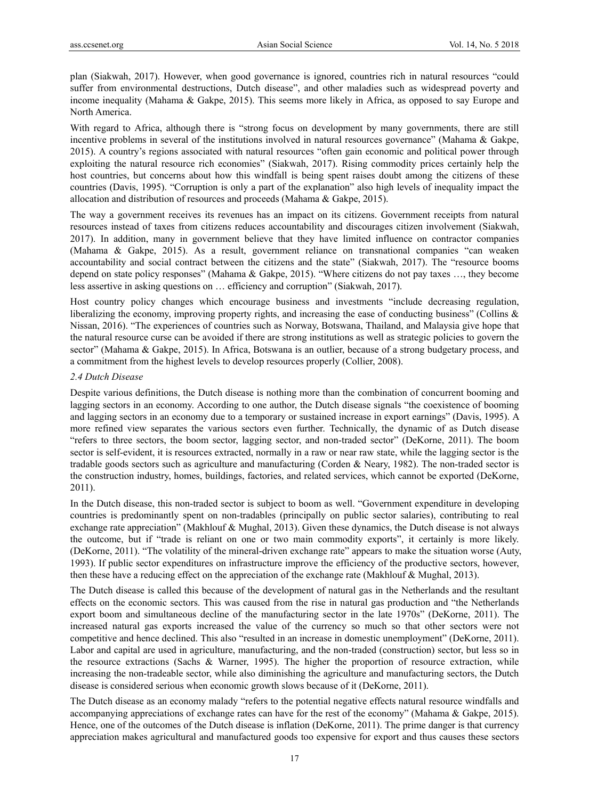plan (Siakwah, 2017). However, when good governance is ignored, countries rich in natural resources "could suffer from environmental destructions, Dutch disease", and other maladies such as widespread poverty and income inequality (Mahama & Gakpe, 2015). This seems more likely in Africa, as opposed to say Europe and North America.

With regard to Africa, although there is "strong focus on development by many governments, there are still incentive problems in several of the institutions involved in natural resources governance" (Mahama & Gakpe, 2015). A country's regions associated with natural resources "often gain economic and political power through exploiting the natural resource rich economies" (Siakwah, 2017). Rising commodity prices certainly help the host countries, but concerns about how this windfall is being spent raises doubt among the citizens of these countries (Davis, 1995). "Corruption is only a part of the explanation" also high levels of inequality impact the allocation and distribution of resources and proceeds (Mahama & Gakpe, 2015).

The way a government receives its revenues has an impact on its citizens. Government receipts from natural resources instead of taxes from citizens reduces accountability and discourages citizen involvement (Siakwah, 2017). In addition, many in government believe that they have limited influence on contractor companies (Mahama & Gakpe, 2015). As a result, government reliance on transnational companies "can weaken accountability and social contract between the citizens and the state" (Siakwah, 2017). The "resource booms depend on state policy responses" (Mahama & Gakpe, 2015). "Where citizens do not pay taxes …, they become less assertive in asking questions on … efficiency and corruption" (Siakwah, 2017).

Host country policy changes which encourage business and investments "include decreasing regulation, liberalizing the economy, improving property rights, and increasing the ease of conducting business" (Collins & Nissan, 2016). "The experiences of countries such as Norway, Botswana, Thailand, and Malaysia give hope that the natural resource curse can be avoided if there are strong institutions as well as strategic policies to govern the sector" (Mahama & Gakpe, 2015). In Africa, Botswana is an outlier, because of a strong budgetary process, and a commitment from the highest levels to develop resources properly (Collier, 2008).

#### *2.4 Dutch Disease*

Despite various definitions, the Dutch disease is nothing more than the combination of concurrent booming and lagging sectors in an economy. According to one author, the Dutch disease signals "the coexistence of booming and lagging sectors in an economy due to a temporary or sustained increase in export earnings" (Davis, 1995). A more refined view separates the various sectors even further. Technically, the dynamic of as Dutch disease "refers to three sectors, the boom sector, lagging sector, and non-traded sector" (DeKorne, 2011). The boom sector is self-evident, it is resources extracted, normally in a raw or near raw state, while the lagging sector is the tradable goods sectors such as agriculture and manufacturing (Corden & Neary, 1982). The non-traded sector is the construction industry, homes, buildings, factories, and related services, which cannot be exported (DeKorne, 2011).

In the Dutch disease, this non-traded sector is subject to boom as well. "Government expenditure in developing countries is predominantly spent on non-tradables (principally on public sector salaries), contributing to real exchange rate appreciation" (Makhlouf & Mughal, 2013). Given these dynamics, the Dutch disease is not always the outcome, but if "trade is reliant on one or two main commodity exports", it certainly is more likely. (DeKorne, 2011). "The volatility of the mineral-driven exchange rate" appears to make the situation worse (Auty, 1993). If public sector expenditures on infrastructure improve the efficiency of the productive sectors, however, then these have a reducing effect on the appreciation of the exchange rate (Makhlouf & Mughal, 2013).

The Dutch disease is called this because of the development of natural gas in the Netherlands and the resultant effects on the economic sectors. This was caused from the rise in natural gas production and "the Netherlands export boom and simultaneous decline of the manufacturing sector in the late 1970s" (DeKorne, 2011). The increased natural gas exports increased the value of the currency so much so that other sectors were not competitive and hence declined. This also "resulted in an increase in domestic unemployment" (DeKorne, 2011). Labor and capital are used in agriculture, manufacturing, and the non-traded (construction) sector, but less so in the resource extractions (Sachs & Warner, 1995). The higher the proportion of resource extraction, while increasing the non-tradeable sector, while also diminishing the agriculture and manufacturing sectors, the Dutch disease is considered serious when economic growth slows because of it (DeKorne, 2011).

The Dutch disease as an economy malady "refers to the potential negative effects natural resource windfalls and accompanying appreciations of exchange rates can have for the rest of the economy" (Mahama & Gakpe, 2015). Hence, one of the outcomes of the Dutch disease is inflation (DeKorne, 2011). The prime danger is that currency appreciation makes agricultural and manufactured goods too expensive for export and thus causes these sectors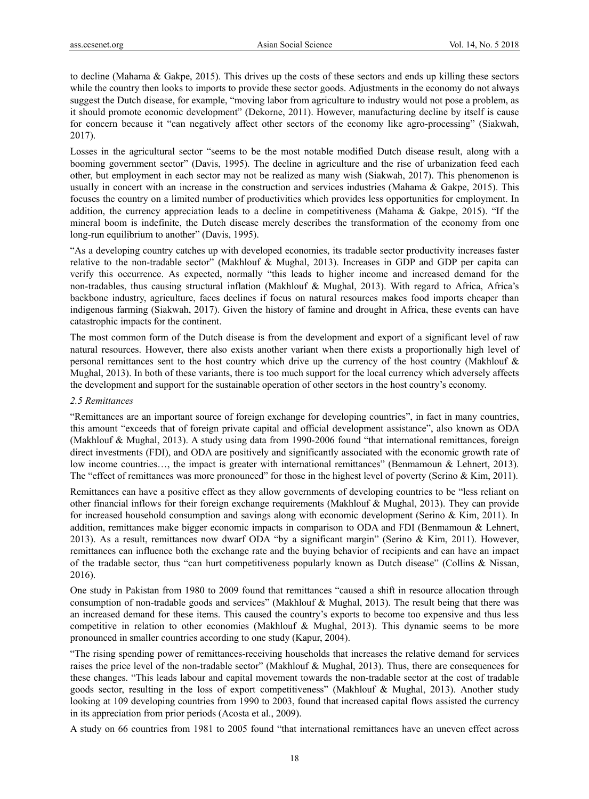to decline (Mahama & Gakpe, 2015). This drives up the costs of these sectors and ends up killing these sectors while the country then looks to imports to provide these sector goods. Adjustments in the economy do not always suggest the Dutch disease, for example, "moving labor from agriculture to industry would not pose a problem, as it should promote economic development" (Dekorne, 2011). However, manufacturing decline by itself is cause for concern because it "can negatively affect other sectors of the economy like agro-processing" (Siakwah, 2017).

Losses in the agricultural sector "seems to be the most notable modified Dutch disease result, along with a booming government sector" (Davis, 1995). The decline in agriculture and the rise of urbanization feed each other, but employment in each sector may not be realized as many wish (Siakwah, 2017). This phenomenon is usually in concert with an increase in the construction and services industries (Mahama & Gakpe, 2015). This focuses the country on a limited number of productivities which provides less opportunities for employment. In addition, the currency appreciation leads to a decline in competitiveness (Mahama & Gakpe, 2015). "If the mineral boom is indefinite, the Dutch disease merely describes the transformation of the economy from one long-run equilibrium to another" (Davis, 1995).

"As a developing country catches up with developed economies, its tradable sector productivity increases faster relative to the non-tradable sector" (Makhlouf & Mughal, 2013). Increases in GDP and GDP per capita can verify this occurrence. As expected, normally "this leads to higher income and increased demand for the non-tradables, thus causing structural inflation (Makhlouf & Mughal, 2013). With regard to Africa, Africa's backbone industry, agriculture, faces declines if focus on natural resources makes food imports cheaper than indigenous farming (Siakwah, 2017). Given the history of famine and drought in Africa, these events can have catastrophic impacts for the continent.

The most common form of the Dutch disease is from the development and export of a significant level of raw natural resources. However, there also exists another variant when there exists a proportionally high level of personal remittances sent to the host country which drive up the currency of the host country (Makhlouf & Mughal, 2013). In both of these variants, there is too much support for the local currency which adversely affects the development and support for the sustainable operation of other sectors in the host country's economy.

#### *2.5 Remittances*

"Remittances are an important source of foreign exchange for developing countries", in fact in many countries, this amount "exceeds that of foreign private capital and official development assistance", also known as ODA (Makhlouf & Mughal, 2013). A study using data from 1990-2006 found "that international remittances, foreign direct investments (FDI), and ODA are positively and significantly associated with the economic growth rate of low income countries…, the impact is greater with international remittances" (Benmamoun & Lehnert, 2013). The "effect of remittances was more pronounced" for those in the highest level of poverty (Serino & Kim, 2011).

Remittances can have a positive effect as they allow governments of developing countries to be "less reliant on other financial inflows for their foreign exchange requirements (Makhlouf & Mughal, 2013). They can provide for increased household consumption and savings along with economic development (Serino & Kim, 2011). In addition, remittances make bigger economic impacts in comparison to ODA and FDI (Benmamoun & Lehnert, 2013). As a result, remittances now dwarf ODA "by a significant margin" (Serino & Kim, 2011). However, remittances can influence both the exchange rate and the buying behavior of recipients and can have an impact of the tradable sector, thus "can hurt competitiveness popularly known as Dutch disease" (Collins & Nissan, 2016).

One study in Pakistan from 1980 to 2009 found that remittances "caused a shift in resource allocation through consumption of non-tradable goods and services" (Makhlouf & Mughal, 2013). The result being that there was an increased demand for these items. This caused the country's exports to become too expensive and thus less competitive in relation to other economies (Makhlouf & Mughal, 2013). This dynamic seems to be more pronounced in smaller countries according to one study (Kapur, 2004).

"The rising spending power of remittances-receiving households that increases the relative demand for services raises the price level of the non-tradable sector" (Makhlouf & Mughal, 2013). Thus, there are consequences for these changes. "This leads labour and capital movement towards the non-tradable sector at the cost of tradable goods sector, resulting in the loss of export competitiveness" (Makhlouf & Mughal, 2013). Another study looking at 109 developing countries from 1990 to 2003, found that increased capital flows assisted the currency in its appreciation from prior periods (Acosta et al., 2009).

A study on 66 countries from 1981 to 2005 found "that international remittances have an uneven effect across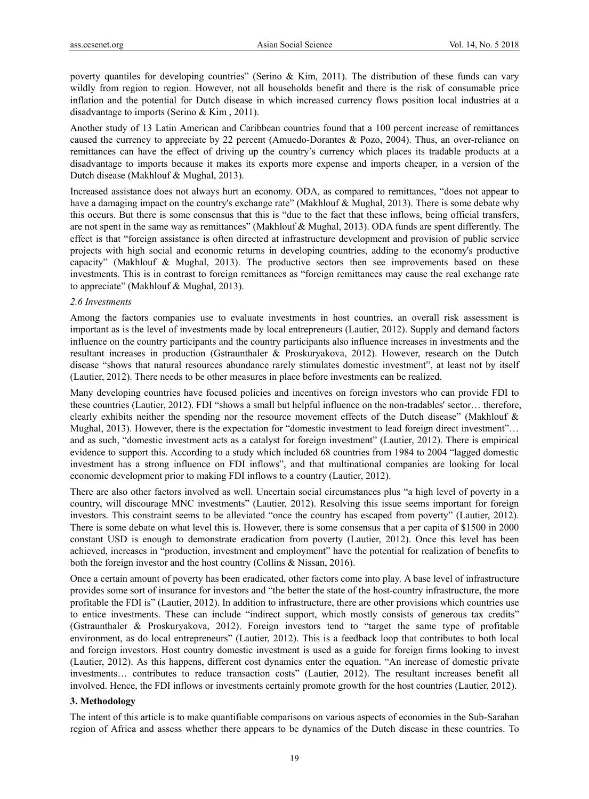poverty quantiles for developing countries" (Serino & Kim, 2011). The distribution of these funds can vary wildly from region to region. However, not all households benefit and there is the risk of consumable price inflation and the potential for Dutch disease in which increased currency flows position local industries at a disadvantage to imports (Serino & Kim , 2011).

Another study of 13 Latin American and Caribbean countries found that a 100 percent increase of remittances caused the currency to appreciate by 22 percent (Amuedo-Dorantes & Pozo, 2004). Thus, an over-reliance on remittances can have the effect of driving up the country's currency which places its tradable products at a disadvantage to imports because it makes its exports more expense and imports cheaper, in a version of the Dutch disease (Makhlouf & Mughal, 2013).

Increased assistance does not always hurt an economy. ODA, as compared to remittances, "does not appear to have a damaging impact on the country's exchange rate" (Makhlouf & Mughal, 2013). There is some debate why this occurs. But there is some consensus that this is "due to the fact that these inflows, being official transfers, are not spent in the same way as remittances" (Makhlouf & Mughal, 2013). ODA funds are spent differently. The effect is that "foreign assistance is often directed at infrastructure development and provision of public service projects with high social and economic returns in developing countries, adding to the economy's productive capacity" (Makhlouf & Mughal, 2013). The productive sectors then see improvements based on these investments. This is in contrast to foreign remittances as "foreign remittances may cause the real exchange rate to appreciate" (Makhlouf & Mughal, 2013).

#### *2.6 Investments*

Among the factors companies use to evaluate investments in host countries, an overall risk assessment is important as is the level of investments made by local entrepreneurs (Lautier, 2012). Supply and demand factors influence on the country participants and the country participants also influence increases in investments and the resultant increases in production (Gstraunthaler & Proskuryakova, 2012). However, research on the Dutch disease "shows that natural resources abundance rarely stimulates domestic investment", at least not by itself (Lautier, 2012). There needs to be other measures in place before investments can be realized.

Many developing countries have focused policies and incentives on foreign investors who can provide FDI to these countries (Lautier, 2012). FDI "shows a small but helpful influence on the non-tradables' sector… therefore, clearly exhibits neither the spending nor the resource movement effects of the Dutch disease" (Makhlouf & Mughal, 2013). However, there is the expectation for "domestic investment to lead foreign direct investment"… and as such, "domestic investment acts as a catalyst for foreign investment" (Lautier, 2012). There is empirical evidence to support this. According to a study which included 68 countries from 1984 to 2004 "lagged domestic investment has a strong influence on FDI inflows", and that multinational companies are looking for local economic development prior to making FDI inflows to a country (Lautier, 2012).

There are also other factors involved as well. Uncertain social circumstances plus "a high level of poverty in a country, will discourage MNC investments" (Lautier, 2012). Resolving this issue seems important for foreign investors. This constraint seems to be alleviated "once the country has escaped from poverty" (Lautier, 2012). There is some debate on what level this is. However, there is some consensus that a per capita of \$1500 in 2000 constant USD is enough to demonstrate eradication from poverty (Lautier, 2012). Once this level has been achieved, increases in "production, investment and employment" have the potential for realization of benefits to both the foreign investor and the host country (Collins & Nissan, 2016).

Once a certain amount of poverty has been eradicated, other factors come into play. A base level of infrastructure provides some sort of insurance for investors and "the better the state of the host-country infrastructure, the more profitable the FDI is" (Lautier, 2012). In addition to infrastructure, there are other provisions which countries use to entice investments. These can include "indirect support, which mostly consists of generous tax credits" (Gstraunthaler & Proskuryakova, 2012). Foreign investors tend to "target the same type of profitable environment, as do local entrepreneurs" (Lautier, 2012). This is a feedback loop that contributes to both local and foreign investors. Host country domestic investment is used as a guide for foreign firms looking to invest (Lautier, 2012). As this happens, different cost dynamics enter the equation. "An increase of domestic private investments… contributes to reduce transaction costs" (Lautier, 2012). The resultant increases benefit all involved. Hence, the FDI inflows or investments certainly promote growth for the host countries (Lautier, 2012).

#### **3. Methodology**

The intent of this article is to make quantifiable comparisons on various aspects of economies in the Sub-Sarahan region of Africa and assess whether there appears to be dynamics of the Dutch disease in these countries. To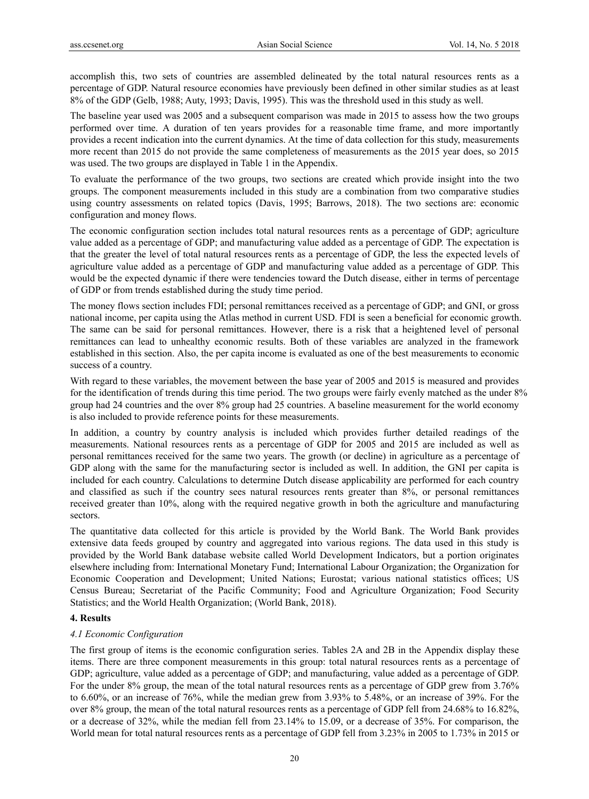accomplish this, two sets of countries are assembled delineated by the total natural resources rents as a percentage of GDP. Natural resource economies have previously been defined in other similar studies as at least 8% of the GDP (Gelb, 1988; Auty, 1993; Davis, 1995). This was the threshold used in this study as well.

The baseline year used was 2005 and a subsequent comparison was made in 2015 to assess how the two groups performed over time. A duration of ten years provides for a reasonable time frame, and more importantly provides a recent indication into the current dynamics. At the time of data collection for this study, measurements more recent than 2015 do not provide the same completeness of measurements as the 2015 year does, so 2015 was used. The two groups are displayed in Table 1 in the Appendix.

To evaluate the performance of the two groups, two sections are created which provide insight into the two groups. The component measurements included in this study are a combination from two comparative studies using country assessments on related topics (Davis, 1995; Barrows, 2018). The two sections are: economic configuration and money flows.

The economic configuration section includes total natural resources rents as a percentage of GDP; agriculture value added as a percentage of GDP; and manufacturing value added as a percentage of GDP. The expectation is that the greater the level of total natural resources rents as a percentage of GDP, the less the expected levels of agriculture value added as a percentage of GDP and manufacturing value added as a percentage of GDP. This would be the expected dynamic if there were tendencies toward the Dutch disease, either in terms of percentage of GDP or from trends established during the study time period.

The money flows section includes FDI; personal remittances received as a percentage of GDP; and GNI, or gross national income, per capita using the Atlas method in current USD. FDI is seen a beneficial for economic growth. The same can be said for personal remittances. However, there is a risk that a heightened level of personal remittances can lead to unhealthy economic results. Both of these variables are analyzed in the framework established in this section. Also, the per capita income is evaluated as one of the best measurements to economic success of a country.

With regard to these variables, the movement between the base year of 2005 and 2015 is measured and provides for the identification of trends during this time period. The two groups were fairly evenly matched as the under 8% group had 24 countries and the over 8% group had 25 countries. A baseline measurement for the world economy is also included to provide reference points for these measurements.

In addition, a country by country analysis is included which provides further detailed readings of the measurements. National resources rents as a percentage of GDP for 2005 and 2015 are included as well as personal remittances received for the same two years. The growth (or decline) in agriculture as a percentage of GDP along with the same for the manufacturing sector is included as well. In addition, the GNI per capita is included for each country. Calculations to determine Dutch disease applicability are performed for each country and classified as such if the country sees natural resources rents greater than 8%, or personal remittances received greater than 10%, along with the required negative growth in both the agriculture and manufacturing sectors.

The quantitative data collected for this article is provided by the World Bank. The World Bank provides extensive data feeds grouped by country and aggregated into various regions. The data used in this study is provided by the World Bank database website called World Development Indicators, but a portion originates elsewhere including from: International Monetary Fund; International Labour Organization; the Organization for Economic Cooperation and Development; United Nations; Eurostat; various national statistics offices; US Census Bureau; Secretariat of the Pacific Community; Food and Agriculture Organization; Food Security Statistics; and the World Health Organization; (World Bank, 2018).

#### **4. Results**

## *4.1 Economic Configuration*

The first group of items is the economic configuration series. Tables 2A and 2B in the Appendix display these items. There are three component measurements in this group: total natural resources rents as a percentage of GDP; agriculture, value added as a percentage of GDP; and manufacturing, value added as a percentage of GDP. For the under 8% group, the mean of the total natural resources rents as a percentage of GDP grew from 3.76% to 6.60%, or an increase of 76%, while the median grew from 3.93% to 5.48%, or an increase of 39%. For the over 8% group, the mean of the total natural resources rents as a percentage of GDP fell from 24.68% to 16.82%, or a decrease of 32%, while the median fell from 23.14% to 15.09, or a decrease of 35%. For comparison, the World mean for total natural resources rents as a percentage of GDP fell from 3.23% in 2005 to 1.73% in 2015 or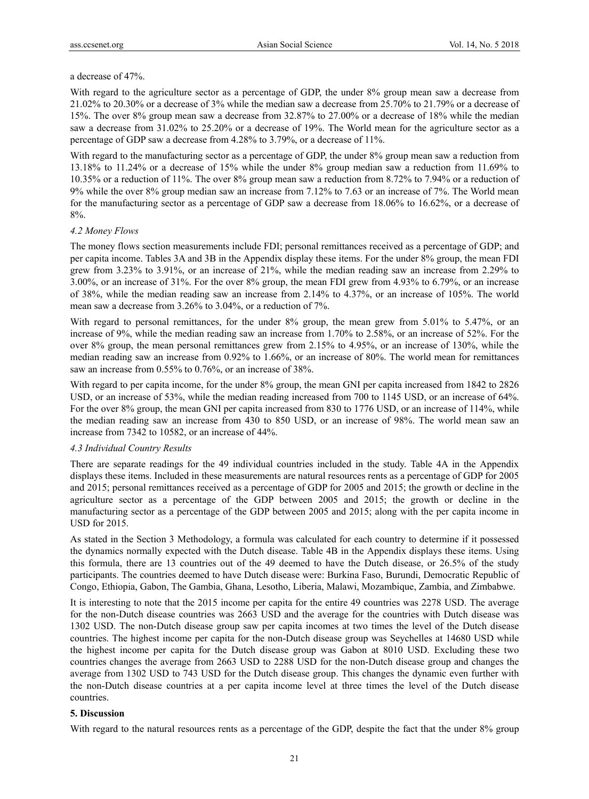#### a decrease of 47%.

With regard to the agriculture sector as a percentage of GDP, the under 8% group mean saw a decrease from 21.02% to 20.30% or a decrease of 3% while the median saw a decrease from 25.70% to 21.79% or a decrease of 15%. The over 8% group mean saw a decrease from 32.87% to 27.00% or a decrease of 18% while the median saw a decrease from 31.02% to 25.20% or a decrease of 19%. The World mean for the agriculture sector as a percentage of GDP saw a decrease from 4.28% to 3.79%, or a decrease of 11%.

With regard to the manufacturing sector as a percentage of GDP, the under 8% group mean saw a reduction from 13.18% to 11.24% or a decrease of 15% while the under 8% group median saw a reduction from 11.69% to 10.35% or a reduction of 11%. The over 8% group mean saw a reduction from 8.72% to 7.94% or a reduction of 9% while the over 8% group median saw an increase from 7.12% to 7.63 or an increase of 7%. The World mean for the manufacturing sector as a percentage of GDP saw a decrease from 18.06% to 16.62%, or a decrease of 8%.

#### *4.2 Money Flows*

The money flows section measurements include FDI; personal remittances received as a percentage of GDP; and per capita income. Tables 3A and 3B in the Appendix display these items. For the under 8% group, the mean FDI grew from 3.23% to 3.91%, or an increase of 21%, while the median reading saw an increase from 2.29% to 3.00%, or an increase of 31%. For the over 8% group, the mean FDI grew from 4.93% to 6.79%, or an increase of 38%, while the median reading saw an increase from 2.14% to 4.37%, or an increase of 105%. The world mean saw a decrease from 3.26% to 3.04%, or a reduction of 7%.

With regard to personal remittances, for the under 8% group, the mean grew from 5.01% to 5.47%, or an increase of 9%, while the median reading saw an increase from 1.70% to 2.58%, or an increase of 52%. For the over 8% group, the mean personal remittances grew from 2.15% to 4.95%, or an increase of 130%, while the median reading saw an increase from 0.92% to 1.66%, or an increase of 80%. The world mean for remittances saw an increase from 0.55% to 0.76%, or an increase of 38%.

With regard to per capita income, for the under 8% group, the mean GNI per capita increased from 1842 to 2826 USD, or an increase of 53%, while the median reading increased from 700 to 1145 USD, or an increase of 64%. For the over 8% group, the mean GNI per capita increased from 830 to 1776 USD, or an increase of 114%, while the median reading saw an increase from 430 to 850 USD, or an increase of 98%. The world mean saw an increase from 7342 to 10582, or an increase of 44%.

## *4.3 Individual Country Results*

There are separate readings for the 49 individual countries included in the study. Table 4A in the Appendix displays these items. Included in these measurements are natural resources rents as a percentage of GDP for 2005 and 2015; personal remittances received as a percentage of GDP for 2005 and 2015; the growth or decline in the agriculture sector as a percentage of the GDP between 2005 and 2015; the growth or decline in the manufacturing sector as a percentage of the GDP between 2005 and 2015; along with the per capita income in USD for 2015.

As stated in the Section 3 Methodology, a formula was calculated for each country to determine if it possessed the dynamics normally expected with the Dutch disease. Table 4B in the Appendix displays these items. Using this formula, there are 13 countries out of the 49 deemed to have the Dutch disease, or 26.5% of the study participants. The countries deemed to have Dutch disease were: Burkina Faso, Burundi, Democratic Republic of Congo, Ethiopia, Gabon, The Gambia, Ghana, Lesotho, Liberia, Malawi, Mozambique, Zambia, and Zimbabwe.

It is interesting to note that the 2015 income per capita for the entire 49 countries was 2278 USD. The average for the non-Dutch disease countries was 2663 USD and the average for the countries with Dutch disease was 1302 USD. The non-Dutch disease group saw per capita incomes at two times the level of the Dutch disease countries. The highest income per capita for the non-Dutch disease group was Seychelles at 14680 USD while the highest income per capita for the Dutch disease group was Gabon at 8010 USD. Excluding these two countries changes the average from 2663 USD to 2288 USD for the non-Dutch disease group and changes the average from 1302 USD to 743 USD for the Dutch disease group. This changes the dynamic even further with the non-Dutch disease countries at a per capita income level at three times the level of the Dutch disease countries.

## **5. Discussion**

With regard to the natural resources rents as a percentage of the GDP, despite the fact that the under 8% group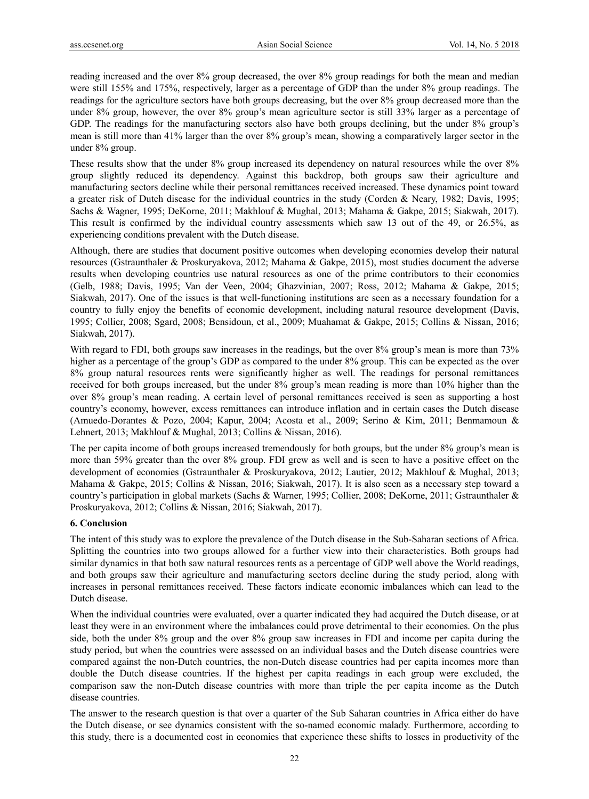reading increased and the over 8% group decreased, the over 8% group readings for both the mean and median were still 155% and 175%, respectively, larger as a percentage of GDP than the under 8% group readings. The readings for the agriculture sectors have both groups decreasing, but the over 8% group decreased more than the under 8% group, however, the over 8% group's mean agriculture sector is still 33% larger as a percentage of GDP. The readings for the manufacturing sectors also have both groups declining, but the under 8% group's mean is still more than 41% larger than the over 8% group's mean, showing a comparatively larger sector in the under 8% group.

These results show that the under 8% group increased its dependency on natural resources while the over 8% group slightly reduced its dependency. Against this backdrop, both groups saw their agriculture and manufacturing sectors decline while their personal remittances received increased. These dynamics point toward a greater risk of Dutch disease for the individual countries in the study (Corden & Neary, 1982; Davis, 1995; Sachs & Wagner, 1995; DeKorne, 2011; Makhlouf & Mughal, 2013; Mahama & Gakpe, 2015; Siakwah, 2017). This result is confirmed by the individual country assessments which saw 13 out of the 49, or 26.5%, as experiencing conditions prevalent with the Dutch disease.

Although, there are studies that document positive outcomes when developing economies develop their natural resources (Gstraunthaler & Proskuryakova, 2012; Mahama & Gakpe, 2015), most studies document the adverse results when developing countries use natural resources as one of the prime contributors to their economies (Gelb, 1988; Davis, 1995; Van der Veen, 2004; Ghazvinian, 2007; Ross, 2012; Mahama & Gakpe, 2015; Siakwah, 2017). One of the issues is that well-functioning institutions are seen as a necessary foundation for a country to fully enjoy the benefits of economic development, including natural resource development (Davis, 1995; Collier, 2008; Sgard, 2008; Bensidoun, et al., 2009; Muahamat & Gakpe, 2015; Collins & Nissan, 2016; Siakwah, 2017).

With regard to FDI, both groups saw increases in the readings, but the over 8% group's mean is more than 73% higher as a percentage of the group's GDP as compared to the under 8% group. This can be expected as the over 8% group natural resources rents were significantly higher as well. The readings for personal remittances received for both groups increased, but the under 8% group's mean reading is more than 10% higher than the over 8% group's mean reading. A certain level of personal remittances received is seen as supporting a host country's economy, however, excess remittances can introduce inflation and in certain cases the Dutch disease (Amuedo-Dorantes & Pozo, 2004; Kapur, 2004; Acosta et al., 2009; Serino & Kim, 2011; Benmamoun & Lehnert, 2013; Makhlouf & Mughal, 2013; Collins & Nissan, 2016).

The per capita income of both groups increased tremendously for both groups, but the under 8% group's mean is more than 59% greater than the over 8% group. FDI grew as well and is seen to have a positive effect on the development of economies (Gstraunthaler & Proskuryakova, 2012; Lautier, 2012; Makhlouf & Mughal, 2013; Mahama & Gakpe, 2015; Collins & Nissan, 2016; Siakwah, 2017). It is also seen as a necessary step toward a country's participation in global markets (Sachs & Warner, 1995; Collier, 2008; DeKorne, 2011; Gstraunthaler & Proskuryakova, 2012; Collins & Nissan, 2016; Siakwah, 2017).

#### **6. Conclusion**

The intent of this study was to explore the prevalence of the Dutch disease in the Sub-Saharan sections of Africa. Splitting the countries into two groups allowed for a further view into their characteristics. Both groups had similar dynamics in that both saw natural resources rents as a percentage of GDP well above the World readings, and both groups saw their agriculture and manufacturing sectors decline during the study period, along with increases in personal remittances received. These factors indicate economic imbalances which can lead to the Dutch disease.

When the individual countries were evaluated, over a quarter indicated they had acquired the Dutch disease, or at least they were in an environment where the imbalances could prove detrimental to their economies. On the plus side, both the under 8% group and the over 8% group saw increases in FDI and income per capita during the study period, but when the countries were assessed on an individual bases and the Dutch disease countries were compared against the non-Dutch countries, the non-Dutch disease countries had per capita incomes more than double the Dutch disease countries. If the highest per capita readings in each group were excluded, the comparison saw the non-Dutch disease countries with more than triple the per capita income as the Dutch disease countries.

The answer to the research question is that over a quarter of the Sub Saharan countries in Africa either do have the Dutch disease, or see dynamics consistent with the so-named economic malady. Furthermore, according to this study, there is a documented cost in economies that experience these shifts to losses in productivity of the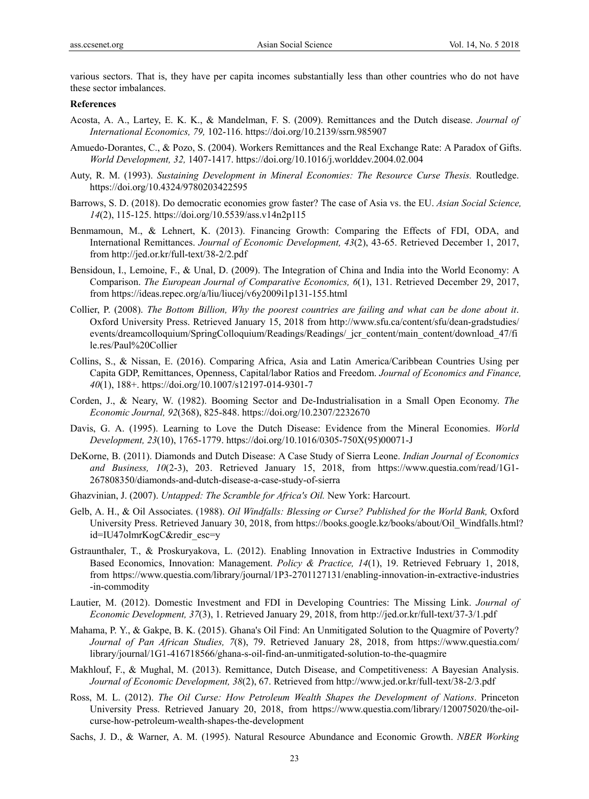various sectors. That is, they have per capita incomes substantially less than other countries who do not have these sector imbalances.

#### **References**

- Acosta, A. A., Lartey, E. K. K., & Mandelman, F. S. (2009). Remittances and the Dutch disease. *Journal of International Economics, 79,* 102-116. https://doi.org/10.2139/ssrn.985907
- Amuedo-Dorantes, C., & Pozo, S. (2004). Workers Remittances and the Real Exchange Rate: A Paradox of Gifts. *World Development, 32,* 1407-1417. https://doi.org/10.1016/j.worlddev.2004.02.004
- Auty, R. M. (1993). *Sustaining Development in Mineral Economies: The Resource Curse Thesis.* Routledge. https://doi.org/10.4324/9780203422595
- Barrows, S. D. (2018). Do democratic economies grow faster? The case of Asia vs. the EU. *Asian Social Science, 14*(2), 115-125. https://doi.org/10.5539/ass.v14n2p115
- Benmamoun, M., & Lehnert, K. (2013). Financing Growth: Comparing the Effects of FDI, ODA, and International Remittances. *Journal of Economic Development, 43*(2), 43-65. Retrieved December 1, 2017, from http://jed.or.kr/full-text/38-2/2.pdf
- Bensidoun, I., Lemoine, F., & Unal, D. (2009). The Integration of China and India into the World Economy: A Comparison. *The European Journal of Comparative Economics, 6*(1), 131. Retrieved December 29, 2017, from https://ideas.repec.org/a/liu/liucej/v6y2009i1p131-155.html
- Collier, P. (2008). *The Bottom Billion, Why the poorest countries are failing and what can be done about it*. Oxford University Press. Retrieved January 15, 2018 from http://www.sfu.ca/content/sfu/dean-gradstudies/ events/dreamcolloquium/SpringColloquium/Readings/Readings/\_jcr\_content/main\_content/download\_47/fi le.res/Paul%20Collier
- Collins, S., & Nissan, E. (2016). Comparing Africa, Asia and Latin America/Caribbean Countries Using per Capita GDP, Remittances, Openness, Capital/labor Ratios and Freedom. *Journal of Economics and Finance, 40*(1), 188+. https://doi.org/10.1007/s12197-014-9301-7
- Corden, J., & Neary, W. (1982). Booming Sector and De-Industrialisation in a Small Open Economy. *The Economic Journal, 92*(368), 825-848. https://doi.org/10.2307/2232670
- Davis, G. A. (1995). Learning to Love the Dutch Disease: Evidence from the Mineral Economies. *World Development, 23*(10), 1765-1779. https://doi.org/10.1016/0305-750X(95)00071-J
- DeKorne, B. (2011). Diamonds and Dutch Disease: A Case Study of Sierra Leone. *Indian Journal of Economics and Business, 10*(2-3), 203. Retrieved January 15, 2018, from https://www.questia.com/read/1G1- 267808350/diamonds-and-dutch-disease-a-case-study-of-sierra
- Ghazvinian, J. (2007). *Untapped: The Scramble for Africa's Oil.* New York: Harcourt.
- Gelb, A. H., & Oil Associates. (1988). *Oil Windfalls: Blessing or Curse? Published for the World Bank,* Oxford University Press. Retrieved January 30, 2018, from https://books.google.kz/books/about/Oil\_Windfalls.html? id=IU47olmrKogC&redir\_esc=y
- Gstraunthaler, T., & Proskuryakova, L. (2012). Enabling Innovation in Extractive Industries in Commodity Based Economics, Innovation: Management. *Policy & Practice, 14*(1), 19. Retrieved February 1, 2018, from https://www.questia.com/library/journal/1P3-2701127131/enabling-innovation-in-extractive-industries -in-commodity
- Lautier, M. (2012). Domestic Investment and FDI in Developing Countries: The Missing Link. *Journal of Economic Development, 37*(3), 1. Retrieved January 29, 2018, from http://jed.or.kr/full-text/37-3/1.pdf
- Mahama, P. Y., & Gakpe, B. K. (2015). Ghana's Oil Find: An Unmitigated Solution to the Quagmire of Poverty? *Journal of Pan African Studies, 7*(8), 79. Retrieved January 28, 2018, from https://www.questia.com/ library/journal/1G1-416718566/ghana-s-oil-find-an-unmitigated-solution-to-the-quagmire
- Makhlouf, F., & Mughal, M. (2013). Remittance, Dutch Disease, and Competitiveness: A Bayesian Analysis. *Journal of Economic Development, 38*(2), 67. Retrieved from http://www.jed.or.kr/full-text/38-2/3.pdf
- Ross, M. L. (2012). *The Oil Curse: How Petroleum Wealth Shapes the Development of Nations*. Princeton University Press. Retrieved January 20, 2018, from https://www.questia.com/library/120075020/the-oilcurse-how-petroleum-wealth-shapes-the-development
- Sachs, J. D., & Warner, A. M. (1995). Natural Resource Abundance and Economic Growth. *NBER Working*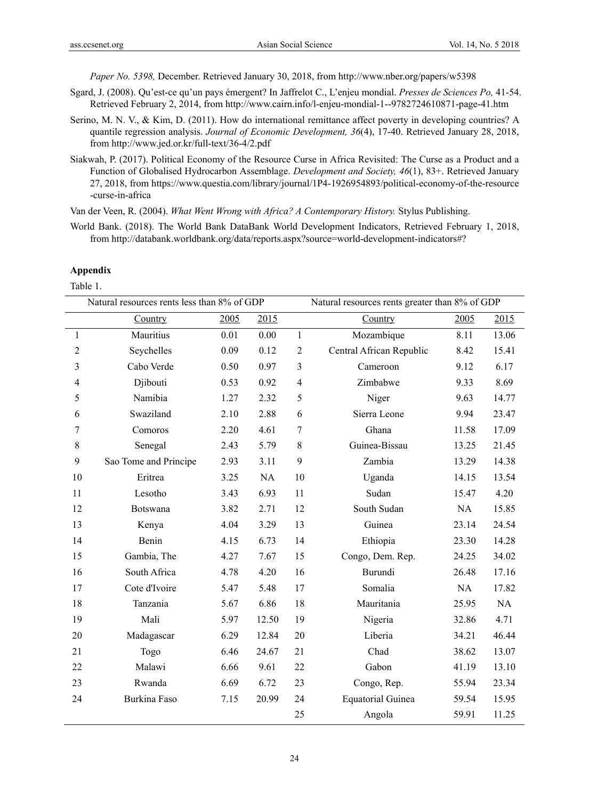*Paper No. 5398,* December. Retrieved January 30, 2018, from http://www.nber.org/papers/w5398

- Sgard, J. (2008). Qu'est-ce qu'un pays émergent? In Jaffrelot C., L'enjeu mondial. *Presses de Sciences Po,* 41-54. Retrieved February 2, 2014, from http://www.cairn.info/l-enjeu-mondial-1--9782724610871-page-41.htm
- Serino, M. N. V., & Kim, D. (2011). How do international remittance affect poverty in developing countries? A quantile regression analysis. *Journal of Economic Development, 36*(4), 17-40. Retrieved January 28, 2018, from http://www.jed.or.kr/full-text/36-4/2.pdf
- Siakwah, P. (2017). Political Economy of the Resource Curse in Africa Revisited: The Curse as a Product and a Function of Globalised Hydrocarbon Assemblage. *Development and Society, 46*(1), 83+. Retrieved January 27, 2018, from https://www.questia.com/library/journal/1P4-1926954893/political-economy-of-the-resource -curse-in-africa

Van der Veen, R. (2004). *What Went Wrong with Africa? A Contemporary History.* Stylus Publishing.

World Bank. (2018). The World Bank DataBank World Development Indicators, Retrieved February 1, 2018, from http://databank.worldbank.org/data/reports.aspx?source=world-development-indicators#?

#### **Appendix**

Table 1.

|                          | Natural resources rents less than 8% of GDP |      |       |                  | Natural resources rents greater than 8% of GDP |       |       |  |
|--------------------------|---------------------------------------------|------|-------|------------------|------------------------------------------------|-------|-------|--|
|                          | Country                                     | 2005 | 2015  |                  | Country                                        | 2005  | 2015  |  |
| 1                        | Mauritius                                   | 0.01 | 0.00  | $\mathbf{1}$     | Mozambique                                     | 8.11  | 13.06 |  |
| $\mathbf{2}$             | Seychelles                                  | 0.09 | 0.12  | $\overline{2}$   | Central African Republic                       | 8.42  | 15.41 |  |
| $\overline{3}$           | Cabo Verde                                  | 0.50 | 0.97  | 3                | Cameroon                                       | 9.12  | 6.17  |  |
| $\overline{\mathcal{A}}$ | Djibouti                                    | 0.53 | 0.92  | $\overline{4}$   | Zimbabwe                                       | 9.33  | 8.69  |  |
| 5                        | Namibia                                     | 1.27 | 2.32  | 5                | Niger                                          | 9.63  | 14.77 |  |
| 6                        | Swaziland                                   | 2.10 | 2.88  | 6                | Sierra Leone                                   | 9.94  | 23.47 |  |
| $\boldsymbol{7}$         | Comoros                                     | 2.20 | 4.61  | $\boldsymbol{7}$ | Ghana                                          | 11.58 | 17.09 |  |
| 8                        | Senegal                                     | 2.43 | 5.79  | $\,$ 8 $\,$      | Guinea-Bissau                                  | 13.25 | 21.45 |  |
| 9                        | Sao Tome and Principe                       | 2.93 | 3.11  | 9                | Zambia                                         | 13.29 | 14.38 |  |
| 10                       | Eritrea                                     | 3.25 | NA    | 10               | Uganda                                         | 14.15 | 13.54 |  |
| 11                       | Lesotho                                     | 3.43 | 6.93  | 11               | Sudan                                          | 15.47 | 4.20  |  |
| 12                       | Botswana                                    | 3.82 | 2.71  | 12               | South Sudan                                    | NA    | 15.85 |  |
| 13                       | Kenya                                       | 4.04 | 3.29  | 13               | Guinea                                         | 23.14 | 24.54 |  |
| 14                       | Benin                                       | 4.15 | 6.73  | 14               | Ethiopia                                       | 23.30 | 14.28 |  |
| 15                       | Gambia, The                                 | 4.27 | 7.67  | 15               | Congo, Dem. Rep.                               | 24.25 | 34.02 |  |
| 16                       | South Africa                                | 4.78 | 4.20  | 16               | Burundi                                        | 26.48 | 17.16 |  |
| 17                       | Cote d'Ivoire                               | 5.47 | 5.48  | 17               | Somalia                                        | NA    | 17.82 |  |
| 18                       | Tanzania                                    | 5.67 | 6.86  | 18               | Mauritania                                     | 25.95 | NA    |  |
| 19                       | Mali                                        | 5.97 | 12.50 | 19               | Nigeria                                        | 32.86 | 4.71  |  |
| 20                       | Madagascar                                  | 6.29 | 12.84 | 20               | Liberia                                        | 34.21 | 46.44 |  |
| 21                       | Togo                                        | 6.46 | 24.67 | 21               | Chad                                           | 38.62 | 13.07 |  |
| 22                       | Malawi                                      | 6.66 | 9.61  | 22               | Gabon                                          | 41.19 | 13.10 |  |
| 23                       | Rwanda                                      | 6.69 | 6.72  | 23               | Congo, Rep.                                    | 55.94 | 23.34 |  |
| 24                       | Burkina Faso                                | 7.15 | 20.99 | 24               | <b>Equatorial Guinea</b>                       | 59.54 | 15.95 |  |
|                          |                                             |      |       | 25               | Angola                                         | 59.91 | 11.25 |  |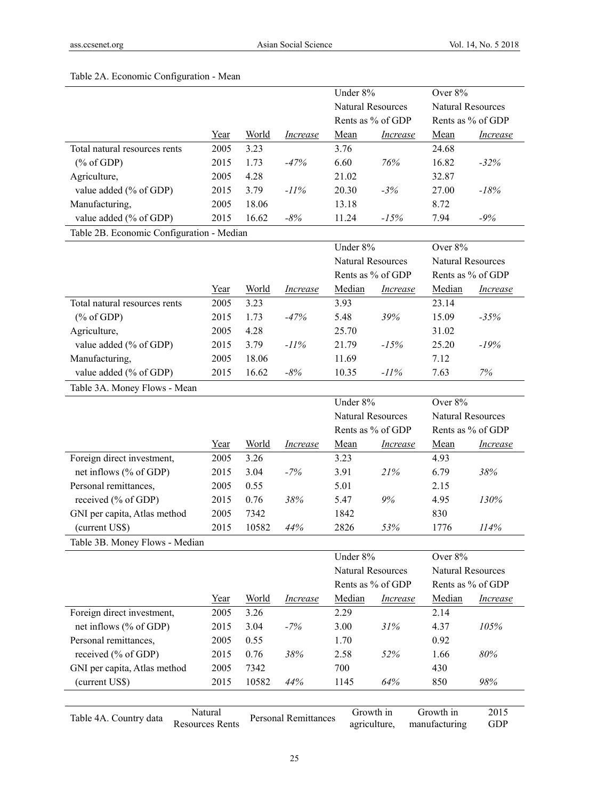## Table 2A. Economic Configuration - Mean

|                                                     |      |              |                               | Under 8%                 |                               | Over 8%                  |                               |
|-----------------------------------------------------|------|--------------|-------------------------------|--------------------------|-------------------------------|--------------------------|-------------------------------|
|                                                     |      |              |                               | <b>Natural Resources</b> |                               | <b>Natural Resources</b> |                               |
|                                                     |      |              |                               |                          | Rents as % of GDP             |                          | Rents as % of GDP             |
|                                                     | Year | <b>World</b> | <i><u><b>Increase</b></u></i> | Mean                     | <b>Increase</b>               | Mean                     | <i><u><b>Increase</b></u></i> |
| Total natural resources rents                       | 2005 | 3.23         |                               | 3.76                     |                               | 24.68                    |                               |
| $(\%$ of GDP)                                       | 2015 | 1.73         | $-47%$                        | 6.60                     | 76%                           | 16.82                    | $-32%$                        |
| Agriculture,                                        | 2005 | 4.28         |                               | 21.02                    |                               | 32.87                    |                               |
| value added (% of GDP)                              | 2015 | 3.79         | $-11%$                        | 20.30                    | $-3%$                         | 27.00                    | $-18%$                        |
| Manufacturing,                                      | 2005 | 18.06        |                               | 13.18                    |                               | 8.72                     |                               |
| value added (% of GDP)                              | 2015 | 16.62        | $-8%$                         | 11.24                    | $-15%$                        | 7.94                     | $-9%$                         |
| Table 2B. Economic Configuration - Median           |      |              |                               |                          |                               |                          |                               |
|                                                     |      |              |                               | Under 8%                 |                               | Over 8%                  |                               |
|                                                     |      |              |                               | <b>Natural Resources</b> |                               | <b>Natural Resources</b> |                               |
|                                                     |      |              |                               |                          | Rents as % of GDP             |                          | Rents as % of GDP             |
|                                                     | Year | World        | <i><u><b>Increase</b></u></i> | Median                   | <b>Increase</b>               | Median                   | <b>Increase</b>               |
| Total natural resources rents                       | 2005 | 3.23         |                               | 3.93                     |                               | 23.14                    |                               |
| $(\%$ of GDP)                                       | 2015 | 1.73         | $-47%$                        | 5.48                     | 39%                           | 15.09                    | $-35%$                        |
| Agriculture,                                        | 2005 | 4.28         |                               | 25.70                    |                               | 31.02                    |                               |
| value added (% of GDP)                              | 2015 | 3.79         | $-11%$                        | 21.79                    | $-15%$                        | 25.20                    | $-19%$                        |
| Manufacturing,                                      | 2005 | 18.06        |                               | 11.69                    |                               | 7.12                     |                               |
| value added (% of GDP)                              | 2015 | 16.62        | $-8%$                         | 10.35                    | $-11%$                        | 7.63                     | 7%                            |
| Table 3A. Money Flows - Mean                        |      |              |                               |                          |                               |                          |                               |
|                                                     |      |              |                               | Under 8%                 |                               | Over 8%                  |                               |
|                                                     |      |              |                               | <b>Natural Resources</b> |                               | <b>Natural Resources</b> |                               |
|                                                     |      |              |                               | Rents as % of GDP        |                               |                          |                               |
|                                                     |      |              |                               |                          |                               |                          | Rents as % of GDP             |
|                                                     | Year | <b>World</b> | <b>Increase</b>               | Mean                     | <i><u><b>Increase</b></u></i> | Mean                     | <b>Increase</b>               |
| Foreign direct investment,                          | 2005 | 3.26         |                               | 3.23                     |                               | 4.93                     |                               |
| net inflows (% of GDP)                              | 2015 | 3.04         | $-7%$                         | 3.91                     | 21%                           | 6.79                     | 38%                           |
| Personal remittances,                               | 2005 | 0.55         |                               | 5.01                     |                               | 2.15                     |                               |
|                                                     | 2015 | 0.76         | 38%                           | 5.47                     | 9%                            | 4.95                     | 130%                          |
| received (% of GDP)<br>GNI per capita, Atlas method | 2005 | 7342         |                               | 1842                     |                               | 830                      |                               |
| (current US\$)                                      | 2015 | 10582        | 44%                           | 2826                     | 53%                           | 1776                     | 114%                          |
| Table 3B. Money Flows - Median                      |      |              |                               |                          |                               |                          |                               |
|                                                     |      |              |                               | Under 8%                 |                               | Over 8%                  |                               |
|                                                     |      |              |                               | <b>Natural Resources</b> |                               | <b>Natural Resources</b> |                               |
|                                                     |      |              |                               | Rents as % of GDP        |                               | Rents as % of GDP        |                               |
|                                                     | Year | World        | <b>Increase</b>               | Median                   | <i><u><b>Increase</b></u></i> | Median                   | <b>Increase</b>               |
| Foreign direct investment,                          | 2005 | 3.26         |                               | 2.29                     |                               | 2.14                     |                               |
| net inflows (% of GDP)                              | 2015 | 3.04         | $-7%$                         | 3.00                     | 31%                           | 4.37                     | 105%                          |
| Personal remittances,                               | 2005 | 0.55         |                               | 1.70                     |                               | 0.92                     |                               |
| received (% of GDP)                                 | 2015 | 0.76         | 38%                           | 2.58                     | 52%                           | 1.66                     | $80\%$                        |
| GNI per capita, Atlas method                        | 2005 | 7342         |                               | 700                      |                               | 430                      |                               |
| (current US\$)                                      | 2015 | 10582        | 44%                           | 1145                     | 64%                           | 850                      | 98%                           |
|                                                     |      |              |                               |                          |                               |                          |                               |

Table 4A. Country data Natural Personal Remittances Growth in Growth in 2015<br>Resources Rents Personal Remittances agriculture, manufacturing GDP Resources Rents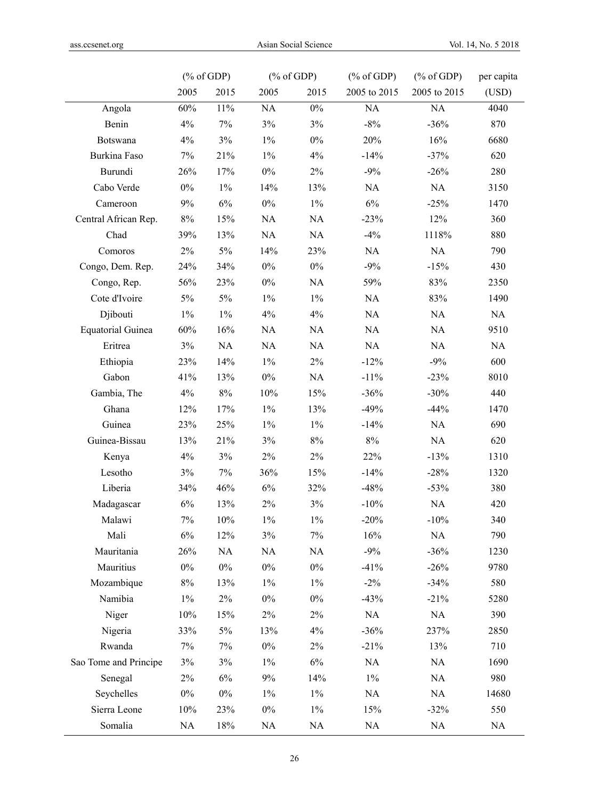|                          |       | $(% \mathcal{O}(\mathcal{O}_{0})\rightarrow \mathcal{O}(\mathcal{O}_{0})\rightarrow \mathcal{O}(\mathcal{O}_{0})$ |          | $(% \mathcal{L}_{0}^{\prime }\circ \mathcal{L}_{1})$ of GDP) | $(\%$ of GDP) | $(% ^{0}\circ$ of GDP) | per capita |
|--------------------------|-------|-------------------------------------------------------------------------------------------------------------------|----------|--------------------------------------------------------------|---------------|------------------------|------------|
|                          | 2005  | 2015                                                                                                              | 2005     | 2015                                                         | 2005 to 2015  | 2005 to 2015           | (USD)      |
| Angola                   | 60%   | 11%                                                                                                               | NA       | $0\%$                                                        | <b>NA</b>     | NA                     | 4040       |
| Benin                    | 4%    | $7\%$                                                                                                             | $3\%$    | 3%                                                           | $-8%$         | $-36%$                 | 870        |
| Botswana                 | 4%    | 3%                                                                                                                | $1\%$    | $0\%$                                                        | 20%           | 16%                    | 6680       |
| Burkina Faso             | $7\%$ | 21%                                                                                                               | $1\%$    | $4\%$                                                        | $-14%$        | $-37%$                 | 620        |
| Burundi                  | 26%   | 17%                                                                                                               | $0\%$    | $2\%$                                                        | $-9%$         | $-26%$                 | 280        |
| Cabo Verde               | $0\%$ | $1\%$                                                                                                             | 14%      | 13%                                                          | NA            | NA                     | 3150       |
| Cameroon                 | 9%    | $6\%$                                                                                                             | $0\%$    | $1\%$                                                        | $6\%$         | $-25%$                 | 1470       |
| Central African Rep.     | $8\%$ | 15%                                                                                                               | NA       | NA                                                           | $-23%$        | 12%                    | 360        |
| Chad                     | 39%   | 13%                                                                                                               | $\rm NA$ | NA                                                           | $-4%$         | 1118%                  | 880        |
| Comoros                  | $2\%$ | $5\%$                                                                                                             | 14%      | 23%                                                          | NA            | NA                     | 790        |
| Congo, Dem. Rep.         | 24%   | 34%                                                                                                               | $0\%$    | $0\%$                                                        | $-9\%$        | $-15%$                 | 430        |
| Congo, Rep.              | 56%   | 23%                                                                                                               | $0\%$    | NA                                                           | 59%           | 83%                    | 2350       |
| Cote d'Ivoire            | $5\%$ | $5\%$                                                                                                             | $1\%$    | $1\%$                                                        | NA            | 83%                    | 1490       |
| Djibouti                 | $1\%$ | $1\%$                                                                                                             | $4\%$    | $4\%$                                                        | NA            | NA                     | NA         |
| <b>Equatorial Guinea</b> | 60%   | 16%                                                                                                               | $\rm NA$ | NA                                                           | NA            | NA                     | 9510       |
| Eritrea                  | 3%    | $\rm NA$                                                                                                          | NA       | NA                                                           | NA            | NA                     | NA         |
| Ethiopia                 | 23%   | 14%                                                                                                               | $1\%$    | $2\%$                                                        | $-12%$        | $-9%$                  | 600        |
| Gabon                    | 41%   | 13%                                                                                                               | $0\%$    | NA                                                           | $-11%$        | $-23%$                 | 8010       |
| Gambia, The              | 4%    | $8\%$                                                                                                             | 10%      | 15%                                                          | $-36%$        | $-30%$                 | 440        |
| Ghana                    | 12%   | 17%                                                                                                               | $1\%$    | 13%                                                          | $-49%$        | $-44%$                 | 1470       |
| Guinea                   | 23%   | 25%                                                                                                               | $1\%$    | $1\%$                                                        | $-14%$        | NA                     | 690        |
| Guinea-Bissau            | 13%   | 21%                                                                                                               | 3%       | $8\%$                                                        | $8\%$         | NA                     | 620        |
| Kenya                    | 4%    | 3%                                                                                                                | $2\%$    | $2\%$                                                        | 22%           | $-13%$                 | 1310       |
| Lesotho                  | $3\%$ | $7\%$                                                                                                             | 36%      | 15%                                                          | $-14%$        | $-28%$                 | 1320       |
| Liberia                  | 34%   | 46%                                                                                                               | $6\%$    | 32%                                                          | $-48%$        | $-53%$                 | 380        |
| Madagascar               | $6\%$ | 13%                                                                                                               | $2\%$    | $3\%$                                                        | $-10%$        | NA                     | 420        |
| Malawi                   | 7%    | 10%                                                                                                               | $1\%$    | $1\%$                                                        | $-20%$        | $-10%$                 | 340        |
| Mali                     | $6\%$ | 12%                                                                                                               | 3%       | $7\%$                                                        | 16%           | NA                     | 790        |
| Mauritania               | 26%   | NA                                                                                                                | NA       | NA                                                           | $-9%$         | $-36%$                 | 1230       |
| Mauritius                | $0\%$ | $0\%$                                                                                                             | $0\%$    | $0\%$                                                        | $-41%$        | $-26%$                 | 9780       |
| Mozambique               | $8\%$ | 13%                                                                                                               | $1\%$    | $1\%$                                                        | $-2\%$        | $-34%$                 | 580        |
| Namibia                  | $1\%$ | $2\%$                                                                                                             | $0\%$    | $0\%$                                                        | $-43%$        | $-21%$                 | 5280       |
| Niger                    | 10%   | 15%                                                                                                               | $2\%$    | $2\%$                                                        | NA            | NA                     | 390        |
| Nigeria                  | 33%   | 5%                                                                                                                | 13%      | $4\%$                                                        | $-36%$        | 237%                   | 2850       |
| Rwanda                   | 7%    | 7%                                                                                                                | $0\%$    | $2\%$                                                        | $-21%$        | 13%                    | 710        |
| Sao Tome and Principe    | 3%    | 3%                                                                                                                | $1\%$    | $6\%$                                                        | NA            | NA                     | 1690       |
| Senegal                  | $2\%$ | $6\%$                                                                                                             | $9\%$    | 14%                                                          | $1\%$         | NA                     | 980        |
| Seychelles               | $0\%$ | $0\%$                                                                                                             | $1\%$    | $1\%$                                                        | NA            | NA                     | 14680      |
| Sierra Leone             | 10%   | 23%                                                                                                               | $0\%$    | $1\%$                                                        | 15%           | $-32%$                 | 550        |
| Somalia                  | NA    | 18%                                                                                                               | NA       | NA                                                           | NA            | $\rm NA$               | NA         |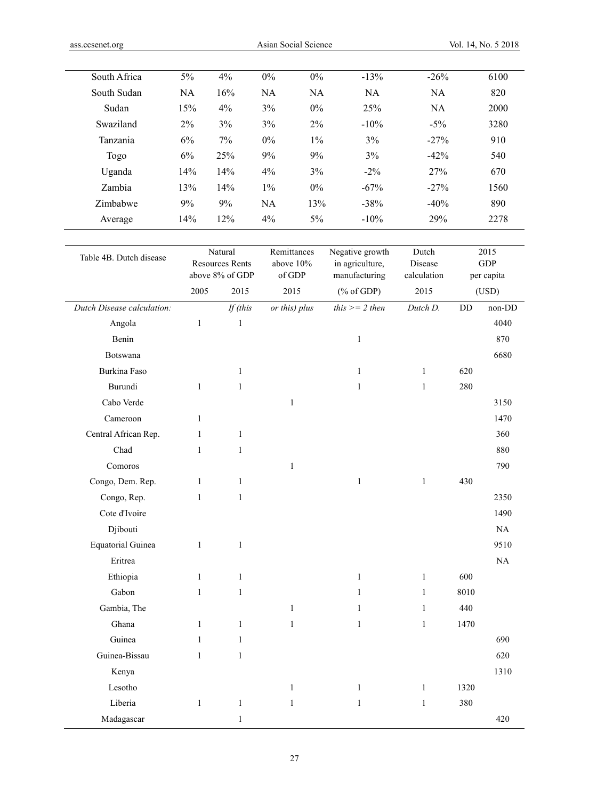| South Africa | $5\%$ | 4%  | $0\%$ | $0\%$ | $-13%$ | $-26%$    | 6100 |
|--------------|-------|-----|-------|-------|--------|-----------|------|
| South Sudan  | NA    | 16% | NA    | NA.   | NA     | NA.       | 820  |
| Sudan        | 15%   | 4%  | 3%    | $0\%$ | 25%    | <b>NA</b> | 2000 |
| Swaziland    | $2\%$ | 3%  | 3%    | $2\%$ | $-10%$ | $-5\%$    | 3280 |
| Tanzania     | 6%    | 7%  | $0\%$ | $1\%$ | 3%     | $-27\%$   | 910  |
| Togo         | 6%    | 25% | 9%    | 9%    | 3%     | $-42%$    | 540  |
| Uganda       | 14%   | 14% | 4%    | 3%    | $-2\%$ | 27%       | 670  |
| Zambia       | 13%   | 14% | $1\%$ | $0\%$ | $-67%$ | $-27%$    | 1560 |
| Zimbabwe     | 9%    | 9%  | NA    | 13%   | $-38%$ | $-40%$    | 890  |
| Average      | 14%   | 12% | 4%    | $5\%$ | $-10%$ | 29%       | 2278 |

| Table 4B. Dutch disease    | Natural<br>Resources Rents<br>above 8% of GDP |              | Remittances<br>above 10%<br>of GDP | Negative growth<br>in agriculture,<br>manufacturing                      | Dutch<br>Disease<br>calculation | 2015<br>${\rm GDP}$<br>per capita |          |
|----------------------------|-----------------------------------------------|--------------|------------------------------------|--------------------------------------------------------------------------|---------------------------------|-----------------------------------|----------|
|                            | 2005                                          | 2015         | 2015                               | $(% \mathcal{O}(\mathcal{O}_{0})\rightarrow \mathcal{O}_{0})$ (% of GDP) | 2015                            |                                   | (USD)    |
| Dutch Disease calculation: |                                               | If $(this)$  | or this) plus                      | this $>= 2$ then                                                         | Dutch D.                        | $\rm DD$                          | non-DD   |
| Angola                     | $\,1$                                         | $\mathbf{1}$ |                                    |                                                                          |                                 |                                   | 4040     |
| Benin                      |                                               |              |                                    | $\mathbf{1}$                                                             |                                 |                                   | 870      |
| Botswana                   |                                               |              |                                    |                                                                          |                                 |                                   | 6680     |
| Burkina Faso               |                                               | $\mathbf{1}$ |                                    | $\mathbf{1}$                                                             | $\mathbf{1}$                    | 620                               |          |
| Burundi                    | $\mathbf{1}$                                  | $\,1$        |                                    | $\mathbf{1}$                                                             | $\mathbf{1}$                    | 280                               |          |
| Cabo Verde                 |                                               |              | $\mathbf{1}$                       |                                                                          |                                 |                                   | 3150     |
| Cameroon                   | $\mathbf{1}$                                  |              |                                    |                                                                          |                                 |                                   | 1470     |
| Central African Rep.       | $\mathbf{1}$                                  | $\mathbf{1}$ |                                    |                                                                          |                                 |                                   | 360      |
| Chad                       | $\mathbf{1}$                                  | $\mathbf{1}$ |                                    |                                                                          |                                 |                                   | 880      |
| Comoros                    |                                               |              | $\mathbf{1}$                       |                                                                          |                                 |                                   | 790      |
| Congo, Dem. Rep.           | $\mathbf{1}$                                  | $\mathbf{1}$ |                                    | $\mathbf{1}$                                                             | $\mathbf{1}$                    | 430                               |          |
| Congo, Rep.                | $\mathbf{1}$                                  | $\mathbf{1}$ |                                    |                                                                          |                                 |                                   | 2350     |
| Cote d'Ivoire              |                                               |              |                                    |                                                                          |                                 |                                   | 1490     |
| Djibouti                   |                                               |              |                                    |                                                                          |                                 |                                   | $\rm NA$ |
| <b>Equatorial Guinea</b>   | $\mathbf{1}$                                  | $\mathbf{1}$ |                                    |                                                                          |                                 |                                   | 9510     |
| Eritrea                    |                                               |              |                                    |                                                                          |                                 |                                   | $\rm NA$ |
| Ethiopia                   | $\mathbf{1}$                                  | $\mathbf{1}$ |                                    | $\mathbf{1}$                                                             | 1                               | 600                               |          |
| Gabon                      | $\mathbf{1}$                                  | $\,1$        |                                    | $\mathbf{1}$                                                             | $\mathbf{1}$                    | 8010                              |          |
| Gambia, The                |                                               |              | $\mathbf{1}$                       | 1                                                                        | $\mathbf{1}$                    | 440                               |          |
| Ghana                      | $\mathbf{1}$                                  | $\mathbf{1}$ | $\mathbf{1}$                       | $\mathbf{1}$                                                             | $\mathbf{1}$                    | 1470                              |          |
| Guinea                     | 1                                             | 1            |                                    |                                                                          |                                 |                                   | 690      |
| Guinea-Bissau              | $\mathbf{1}$                                  | $\mathbf{1}$ |                                    |                                                                          |                                 |                                   | 620      |
| Kenya                      |                                               |              |                                    |                                                                          |                                 |                                   | 1310     |
| Lesotho                    |                                               |              | $\mathbf{1}$                       | $\,1$                                                                    | $\mathbf{1}$                    | 1320                              |          |
| Liberia                    | $\,1$                                         | $\mathbf{1}$ | $\mathbf{1}$                       | $\mathbf{1}$                                                             | $\mathbf{1}$                    | 380                               |          |
| Madagascar                 |                                               | $\mathbf{1}$ |                                    |                                                                          |                                 |                                   | 420      |